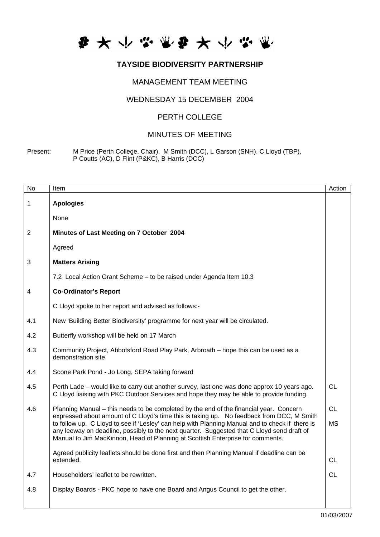

## **TAYSIDE BIODIVERSITY PARTNERSHIP**

# MANAGEMENT TEAM MEETING

#### WEDNESDAY 15 DECEMBER 2004

### PERTH COLLEGE

## MINUTES OF MEETING

Present: M Price (Perth College, Chair), M Smith (DCC), L Garson (SNH), C Lloyd (TBP), P Coutts (AC), D Flint (P&KC), B Harris (DCC)

| No  | Item                                                                                                                                                                                                                                                                            | Action    |
|-----|---------------------------------------------------------------------------------------------------------------------------------------------------------------------------------------------------------------------------------------------------------------------------------|-----------|
| 1   | <b>Apologies</b>                                                                                                                                                                                                                                                                |           |
|     | None                                                                                                                                                                                                                                                                            |           |
| 2   | Minutes of Last Meeting on 7 October 2004                                                                                                                                                                                                                                       |           |
|     | Agreed                                                                                                                                                                                                                                                                          |           |
| 3   | <b>Matters Arising</b>                                                                                                                                                                                                                                                          |           |
|     | 7.2 Local Action Grant Scheme - to be raised under Agenda Item 10.3                                                                                                                                                                                                             |           |
| 4   | <b>Co-Ordinator's Report</b>                                                                                                                                                                                                                                                    |           |
|     | C Lloyd spoke to her report and advised as follows:-                                                                                                                                                                                                                            |           |
| 4.1 | New 'Building Better Biodiversity' programme for next year will be circulated.                                                                                                                                                                                                  |           |
| 4.2 | Butterfly workshop will be held on 17 March                                                                                                                                                                                                                                     |           |
| 4.3 | Community Project, Abbotsford Road Play Park, Arbroath - hope this can be used as a<br>demonstration site                                                                                                                                                                       |           |
| 4.4 | Scone Park Pond - Jo Long, SEPA taking forward                                                                                                                                                                                                                                  |           |
| 4.5 | Perth Lade – would like to carry out another survey, last one was done approx 10 years ago.<br>C Lloyd liaising with PKC Outdoor Services and hope they may be able to provide funding.                                                                                         | <b>CL</b> |
| 4.6 | Planning Manual – this needs to be completed by the end of the financial year. Concern<br>expressed about amount of C Lloyd's time this is taking up. No feedback from DCC, M Smith                                                                                             | <b>CL</b> |
|     | to follow up. C Lloyd to see if 'Lesley' can help with Planning Manual and to check if there is<br>any leeway on deadline, possibly to the next quarter. Suggested that C Lloyd send draft of<br>Manual to Jim MacKinnon, Head of Planning at Scottish Enterprise for comments. | <b>MS</b> |
|     | Agreed publicity leaflets should be done first and then Planning Manual if deadline can be<br>extended.                                                                                                                                                                         | CL        |
| 4.7 | Householders' leaflet to be rewritten.                                                                                                                                                                                                                                          | <b>CL</b> |
| 4.8 | Display Boards - PKC hope to have one Board and Angus Council to get the other.                                                                                                                                                                                                 |           |
|     |                                                                                                                                                                                                                                                                                 |           |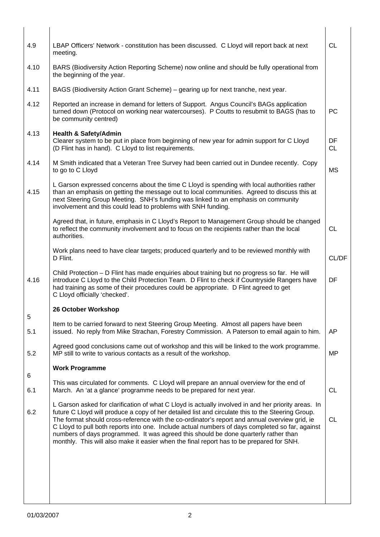| 4.9                | LBAP Officers' Network - constitution has been discussed. C Lloyd will report back at next<br>meeting.                                                                                                                                                                                                                                                                                                                                                                                                                                                                                          | <b>CL</b>       |
|--------------------|-------------------------------------------------------------------------------------------------------------------------------------------------------------------------------------------------------------------------------------------------------------------------------------------------------------------------------------------------------------------------------------------------------------------------------------------------------------------------------------------------------------------------------------------------------------------------------------------------|-----------------|
| 4.10               | BARS (Biodiversity Action Reporting Scheme) now online and should be fully operational from<br>the beginning of the year.                                                                                                                                                                                                                                                                                                                                                                                                                                                                       |                 |
| 4.11               | BAGS (Biodiversity Action Grant Scheme) – gearing up for next tranche, next year.                                                                                                                                                                                                                                                                                                                                                                                                                                                                                                               |                 |
| 4.12               | Reported an increase in demand for letters of Support. Angus Council's BAGs application<br>turned down (Protocol on working near watercourses). P Coutts to resubmit to BAGS (has to<br>be community centred)                                                                                                                                                                                                                                                                                                                                                                                   | PC              |
| 4.13               | <b>Health &amp; Safety/Admin</b><br>Clearer system to be put in place from beginning of new year for admin support for C Lloyd<br>(D Flint has in hand). C Lloyd to list requirements.                                                                                                                                                                                                                                                                                                                                                                                                          | DF<br><b>CL</b> |
| 4.14               | M Smith indicated that a Veteran Tree Survey had been carried out in Dundee recently. Copy<br>to go to C Lloyd                                                                                                                                                                                                                                                                                                                                                                                                                                                                                  | <b>MS</b>       |
| 4.15               | L Garson expressed concerns about the time C Lloyd is spending with local authorities rather<br>than an emphasis on getting the message out to local communities. Agreed to discuss this at<br>next Steering Group Meeting. SNH's funding was linked to an emphasis on community<br>involvement and this could lead to problems with SNH funding.                                                                                                                                                                                                                                               |                 |
|                    | Agreed that, in future, emphasis in C Lloyd's Report to Management Group should be changed<br>to reflect the community involvement and to focus on the recipients rather than the local<br>authorities.                                                                                                                                                                                                                                                                                                                                                                                         | <b>CL</b>       |
|                    | Work plans need to have clear targets; produced quarterly and to be reviewed monthly with<br>D Flint.                                                                                                                                                                                                                                                                                                                                                                                                                                                                                           | CL/DF           |
| 4.16               | Child Protection - D Flint has made enquiries about training but no progress so far. He will<br>introduce C Lloyd to the Child Protection Team. D Flint to check if Countryside Rangers have<br>had training as some of their procedures could be appropriate. D Flint agreed to get<br>C Lloyd officially 'checked'.                                                                                                                                                                                                                                                                           | DF              |
|                    | 26 October Workshop                                                                                                                                                                                                                                                                                                                                                                                                                                                                                                                                                                             |                 |
| $\mathbf 5$<br>5.1 | Item to be carried forward to next Steering Group Meeting. Almost all papers have been<br>issued. No reply from Mike Strachan, Forestry Commission. A Paterson to email again to him.                                                                                                                                                                                                                                                                                                                                                                                                           | AP              |
| 5.2                | Agreed good conclusions came out of workshop and this will be linked to the work programme.<br>MP still to write to various contacts as a result of the workshop.                                                                                                                                                                                                                                                                                                                                                                                                                               | <b>MP</b>       |
| 6                  | <b>Work Programme</b>                                                                                                                                                                                                                                                                                                                                                                                                                                                                                                                                                                           |                 |
| 6.1                | This was circulated for comments. C Lloyd will prepare an annual overview for the end of<br>March. An 'at a glance' programme needs to be prepared for next year.                                                                                                                                                                                                                                                                                                                                                                                                                               | <b>CL</b>       |
| 6.2                | L Garson asked for clarification of what C Lloyd is actually involved in and her priority areas. In<br>future C Lloyd will produce a copy of her detailed list and circulate this to the Steering Group.<br>The format should cross-reference with the co-ordinator's report and annual overview grid, ie<br>C Lloyd to pull both reports into one. Include actual numbers of days completed so far, against<br>numbers of days programmed. It was agreed this should be done quarterly rather than<br>monthly. This will also make it easier when the final report has to be prepared for SNH. | <b>CL</b>       |
|                    |                                                                                                                                                                                                                                                                                                                                                                                                                                                                                                                                                                                                 |                 |
|                    |                                                                                                                                                                                                                                                                                                                                                                                                                                                                                                                                                                                                 |                 |
|                    |                                                                                                                                                                                                                                                                                                                                                                                                                                                                                                                                                                                                 |                 |
|                    |                                                                                                                                                                                                                                                                                                                                                                                                                                                                                                                                                                                                 |                 |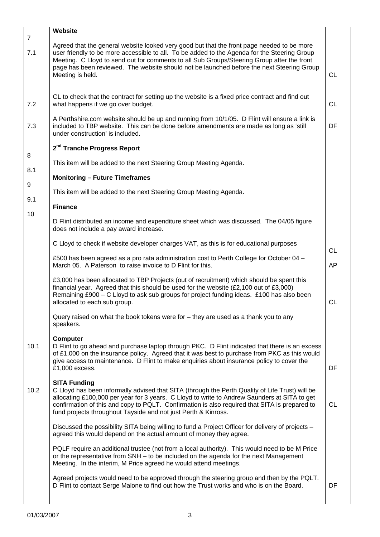|                       | Website                                                                                                                                                                                                                                                                                                                                                                                                   |           |
|-----------------------|-----------------------------------------------------------------------------------------------------------------------------------------------------------------------------------------------------------------------------------------------------------------------------------------------------------------------------------------------------------------------------------------------------------|-----------|
| $\overline{7}$<br>7.1 | Agreed that the general website looked very good but that the front page needed to be more<br>user friendly to be more accessible to all. To be added to the Agenda for the Steering Group<br>Meeting. C Lloyd to send out for comments to all Sub Groups/Steering Group after the front<br>page has been reviewed. The website should not be launched before the next Steering Group<br>Meeting is held. | CL        |
| 7.2                   | CL to check that the contract for setting up the website is a fixed price contract and find out<br>what happens if we go over budget.                                                                                                                                                                                                                                                                     | <b>CL</b> |
| 7.3                   | A Perthshire.com website should be up and running from 10/1/05. D Flint will ensure a link is<br>included to TBP website. This can be done before amendments are made as long as 'still<br>under construction' is included.                                                                                                                                                                               | DF        |
|                       | 2 <sup>nd</sup> Tranche Progress Report                                                                                                                                                                                                                                                                                                                                                                   |           |
| 8                     | This item will be added to the next Steering Group Meeting Agenda.                                                                                                                                                                                                                                                                                                                                        |           |
| 8.1                   | <b>Monitoring - Future Timeframes</b>                                                                                                                                                                                                                                                                                                                                                                     |           |
| 9                     | This item will be added to the next Steering Group Meeting Agenda.                                                                                                                                                                                                                                                                                                                                        |           |
| 9.1                   | <b>Finance</b>                                                                                                                                                                                                                                                                                                                                                                                            |           |
| 10                    | D Flint distributed an income and expenditure sheet which was discussed. The 04/05 figure<br>does not include a pay award increase.                                                                                                                                                                                                                                                                       |           |
|                       | C Lloyd to check if website developer charges VAT, as this is for educational purposes                                                                                                                                                                                                                                                                                                                    | <b>CL</b> |
|                       | £500 has been agreed as a pro rata administration cost to Perth College for October 04 -<br>March 05. A Paterson to raise invoice to D Flint for this.                                                                                                                                                                                                                                                    | <b>AP</b> |
|                       | £3,000 has been allocated to TBP Projects (out of recruitment) which should be spent this<br>financial year. Agreed that this should be used for the website $(E2,100)$ out of £3,000)<br>Remaining £900 – C Lloyd to ask sub groups for project funding ideas. £100 has also been<br>allocated to each sub group.                                                                                        | <b>CL</b> |
|                       | Query raised on what the book tokens were for – they are used as a thank you to any<br>speakers.                                                                                                                                                                                                                                                                                                          |           |
| 10.1                  | <b>Computer</b><br>D Flint to go ahead and purchase laptop through PKC. D Flint indicated that there is an excess<br>of £1,000 on the insurance policy. Agreed that it was best to purchase from PKC as this would<br>give access to maintenance. D Flint to make enquiries about insurance policy to cover the<br>£1,000 excess.                                                                         | DF        |
| 10.2                  | <b>SITA Funding</b><br>C Lloyd has been informally advised that SITA (through the Perth Quality of Life Trust) will be<br>allocating £100,000 per year for 3 years. C Lloyd to write to Andrew Saunders at SITA to get<br>confirmation of this and copy to PQLT. Confirmation is also required that SITA is prepared to<br>fund projects throughout Tayside and not just Perth & Kinross.                 | <b>CL</b> |
|                       | Discussed the possibility SITA being willing to fund a Project Officer for delivery of projects -<br>agreed this would depend on the actual amount of money they agree.                                                                                                                                                                                                                                   |           |
|                       | PQLF require an additional trustee (not from a local authority). This would need to be M Price<br>or the representative from SNH - to be included on the agenda for the next Management<br>Meeting. In the interim, M Price agreed he would attend meetings.                                                                                                                                              |           |
|                       | Agreed projects would need to be approved through the steering group and then by the PQLT.<br>D Flint to contact Serge Malone to find out how the Trust works and who is on the Board.                                                                                                                                                                                                                    | DF        |

п